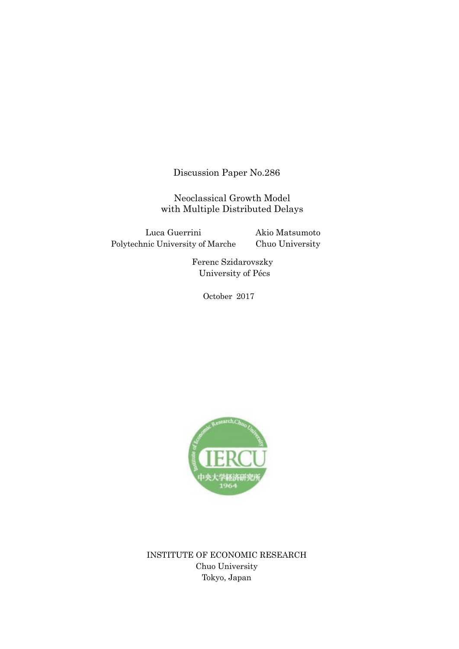Discussion Paper No.286

Neoclassical Growth Model with Multiple Distributed Delays

Luca Guerrini Polytechnic University of Marche Akio Matsumoto Chuo University

> Ferenc Szidarovszky University of Pécs

> > October 2017



INSTITUTE OF ECONOMIC RESEARCH Chuo University Tokyo, Japan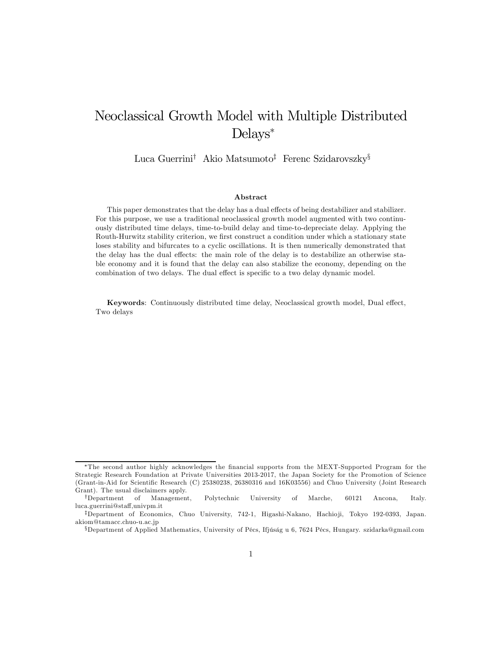# Neoclassical Growth Model with Multiple Distributed Delays<sup>∗</sup>

Luca Guerrini† Akio Matsumoto‡ Ferenc Szidarovszky§

#### Abstract

This paper demonstrates that the delay has a dual effects of being destabilizer and stabilizer. For this purpose, we use a traditional neoclassical growth model augmented with two continuously distributed time delays, time-to-build delay and time-to-depreciate delay. Applying the Routh-Hurwitz stability criterion, we first construct a condition under which a stationary state loses stability and bifurcates to a cyclic oscillations. It is then numerically demonstrated that the delay has the dual effects: the main role of the delay is to destabilize an otherwise stable economy and it is found that the delay can also stabilize the economy, depending on the combination of two delays. The dual effect is specific to a two delay dynamic model.

Keywords: Continuously distributed time delay, Neoclassical growth model, Dual effect, Two delays

<sup>∗</sup>The second author highly acknowledges the financial supports from the MEXT-Supported Program for the Strategic Research Foundation at Private Universities 2013-2017, the Japan Society for the Promotion of Science (Grant-in-Aid for Scientific Research (C) 25380238, 26380316 and 16K03556) and Chuo University (Joint Research Grant). The usual disclaimers apply.

<sup>†</sup>Department of Management, Polytechnic University of Marche, 60121 Ancona, Italy. luca.guerrini@staff,univpm.it

<sup>‡</sup>Department of Economics, Chuo University, 742-1, Higashi-Nakano, Hachioji, Tokyo 192-0393, Japan. akiom@tamacc.chuo-u.ac.jp

<sup>§</sup>Department of Applied Mathematics, University of Pécs, Ifjúság u 6, 7624 Pécs, Hungary. szidarka@gmail.com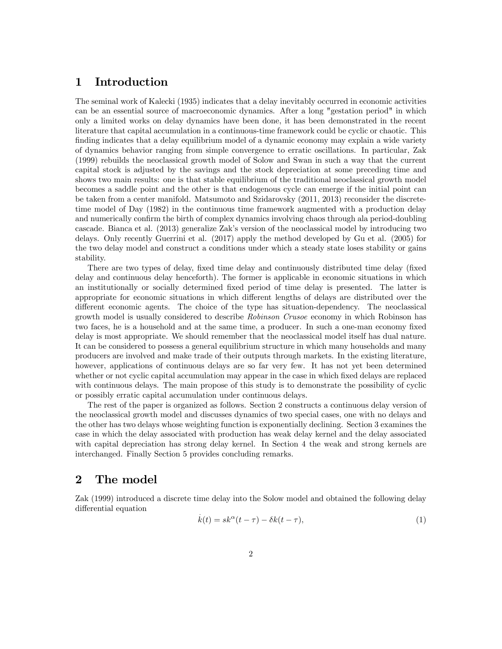### 1 Introduction

The seminal work of Kalecki (1935) indicates that a delay inevitably occurred in economic activities can be an essential source of macroeconomic dynamics. After a long "gestation period" in which only a limited works on delay dynamics have been done, it has been demonstrated in the recent literature that capital accumulation in a continuous-time framework could be cyclic or chaotic. This finding indicates that a delay equilibrium model of a dynamic economy may explain a wide variety of dynamics behavior ranging from simple convergence to erratic oscillations. In particular, Zak (1999) rebuilds the neoclassical growth model of Solow and Swan in such a way that the current capital stock is adjusted by the savings and the stock depreciation at some preceding time and shows two main results: one is that stable equilibrium of the traditional neoclassical growth model becomes a saddle point and the other is that endogenous cycle can emerge if the initial point can be taken from a center manifold. Matsumoto and Szidarovsky (2011, 2013) reconsider the discretetime model of Day (1982) in the continuous time framework augmented with a production delay and numerically confirm the birth of complex dynamics involving chaos through ala period-doubling cascade. Bianca et al. (2013) generalize Zak's version of the neoclassical model by introducing two delays. Only recently Guerrini et al. (2017) apply the method developed by Gu et al. (2005) for the two delay model and construct a conditions under which a steady state loses stability or gains stability.

There are two types of delay, fixed time delay and continuously distributed time delay (fixed delay and continuous delay henceforth). The former is applicable in economic situations in which an institutionally or socially determined fixed period of time delay is presented. The latter is appropriate for economic situations in which different lengths of delays are distributed over the different economic agents. The choice of the type has situation-dependency. The neoclassical growth model is usually considered to describe *Robinson Crusoe* economy in which Robinson has two faces, he is a household and at the same time, a producer. In such a one-man economy fixed delay is most appropriate. We should remember that the neoclassical model itself has dual nature. It can be considered to possess a general equilibrium structure in which many households and many producers are involved and make trade of their outputs through markets. In the existing literature, however, applications of continuous delays are so far very few. It has not yet been determined whether or not cyclic capital accumulation may appear in the case in which fixed delays are replaced with continuous delays. The main propose of this study is to demonstrate the possibility of cyclic or possibly erratic capital accumulation under continuous delays.

The rest of the paper is organized as follows. Section 2 constructs a continuous delay version of the neoclassical growth model and discusses dynamics of two special cases, one with no delays and the other has two delays whose weighting function is exponentially declining. Section 3 examines the case in which the delay associated with production has weak delay kernel and the delay associated with capital depreciation has strong delay kernel. In Section 4 the weak and strong kernels are interchanged. Finally Section 5 provides concluding remarks.

### 2 The model

Zak (1999) introduced a discrete time delay into the Solow model and obtained the following delay differential equation .

$$
\dot{k}(t) = sk^{\alpha}(t-\tau) - \delta k(t-\tau),\tag{1}
$$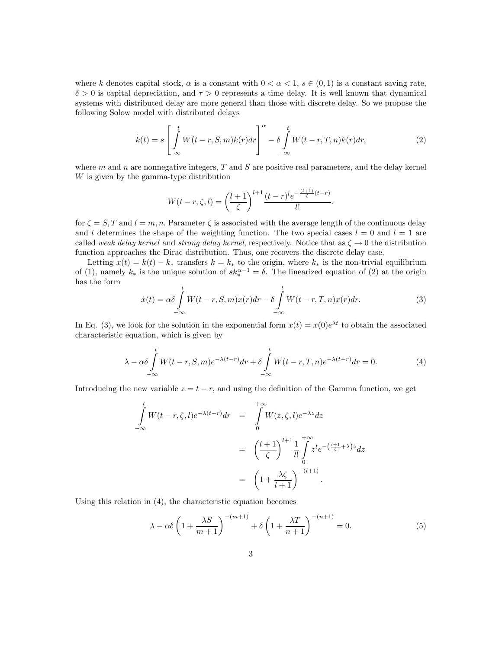where k denotes capital stock,  $\alpha$  is a constant with  $0 < \alpha < 1$ ,  $s \in (0, 1)$  is a constant saving rate,  $\delta > 0$  is capital depreciation, and  $\tau > 0$  represents a time delay. It is well known that dynamical systems with distributed delay are more general than those with discrete delay. So we propose the following Solow model with distributed delays

$$
\dot{k}(t) = s \left[ \int_{-\infty}^{t} W(t-r, S, m)k(r) dr \right]^{\alpha} - \delta \int_{-\infty}^{t} W(t-r, T, n)k(r) dr, \tag{2}
$$

where  $m$  and  $n$  are nonnegative integers,  $T$  and  $S$  are positive real parameters, and the delay kernel W is given by the gamma-type distribution

$$
W(t-r,\zeta,l) = \left(\frac{l+1}{\zeta}\right)^{l+1} \frac{(t-r)^l e^{-\frac{(l+1)}{\zeta}(t-r)}}{l!}.
$$

for  $\zeta = S, T$  and  $l = m, n$ . Parameter  $\zeta$  is associated with the average length of the continuous delay and l determines the shape of the weighting function. The two special cases  $l = 0$  and  $l = 1$  are called weak delay kernel and strong delay kernel, respectively. Notice that as  $\zeta \to 0$  the distribution function approaches the Dirac distribution. Thus, one recovers the discrete delay case.

Letting  $x(t) = k(t) - k_*$  transfers  $k = k_*$  to the origin, where  $k_*$  is the non-trivial equilibrium of (1), namely  $k_*$  is the unique solution of  $sk_*^{\alpha-1} = \delta$ . The linearized equation of (2) at the origin has the form

$$
\dot{x}(t) = \alpha \delta \int_{-\infty}^{t} W(t-r, S, m)x(r)dr - \delta \int_{-\infty}^{t} W(t-r, T, n)x(r)dr.
$$
\n(3)

In Eq. (3), we look for the solution in the exponential form  $x(t) = x(0)e^{\lambda t}$  to obtain the associated characteristic equation, which is given by

$$
\lambda - \alpha \delta \int_{-\infty}^{t} W(t-r, S, m) e^{-\lambda (t-r)} dr + \delta \int_{-\infty}^{t} W(t-r, T, n) e^{-\lambda (t-r)} dr = 0.
$$
 (4)

Introducing the new variable  $z = t - r$ , and using the definition of the Gamma function, we get

$$
\int_{-\infty}^{t} W(t-r,\zeta,l)e^{-\lambda(t-r)}dr = \int_{0}^{+\infty} W(z,\zeta,l)e^{-\lambda z}dz
$$
\n
$$
= \left(\frac{l+1}{\zeta}\right)^{l+1} \frac{1}{l!} \int_{0}^{+\infty} z^{l}e^{-\left(\frac{l+1}{\zeta}+\lambda\right)z}dz
$$
\n
$$
= \left(1+\frac{\lambda\zeta}{l+1}\right)^{-(l+1)}.
$$

Using this relation in (4), the characteristic equation becomes

$$
\lambda - \alpha \delta \left( 1 + \frac{\lambda S}{m+1} \right)^{-(m+1)} + \delta \left( 1 + \frac{\lambda T}{n+1} \right)^{-(n+1)} = 0. \tag{5}
$$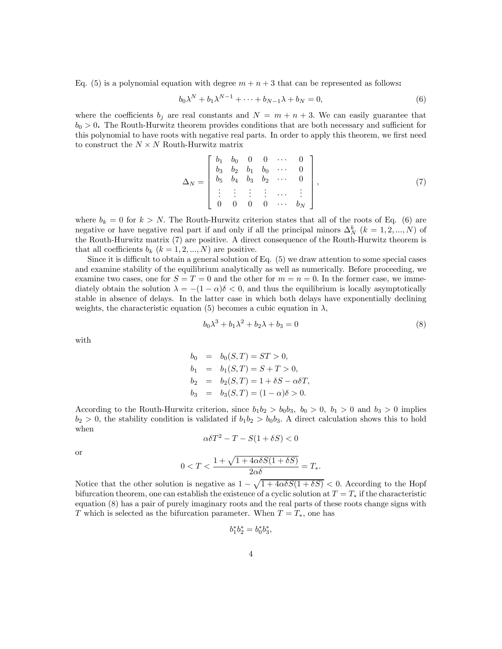Eq. (5) is a polynomial equation with degree  $m + n + 3$  that can be represented as follows:

$$
b_0\lambda^N + b_1\lambda^{N-1} + \dots + b_{N-1}\lambda + b_N = 0,
$$
\n<sup>(6)</sup>

where the coefficients  $b_j$  are real constants and  $N = m + n + 3$ . We can easily guarantee that  $b<sub>0</sub> > 0$ . The Routh-Hurwitz theorem provides conditions that are both necessary and sufficient for this polynomial to have roots with negative real parts. In order to apply this theorem, we first need to construct the  $N \times N$  Routh-Hurwitz matrix

$$
\Delta_N = \begin{bmatrix} b_1 & b_0 & 0 & 0 & \cdots & 0 \\ b_3 & b_2 & b_1 & b_0 & \cdots & 0 \\ b_5 & b_4 & b_3 & b_2 & \cdots & 0 \\ \vdots & \vdots & \vdots & \vdots & \cdots & \vdots \\ 0 & 0 & 0 & 0 & \cdots & b_N \end{bmatrix},
$$
(7)

where  $b_k = 0$  for  $k > N$ . The Routh-Hurwitz criterion states that all of the roots of Eq. (6) are negative or have negative real part if and only if all the principal minors  $\Delta_N^k$  ( $k = 1, 2, ..., N$ ) of the Routh-Hurwitz matrix (7) are positive. A direct consequence of the Routh-Hurwitz theorem is that all coefficients  $b_k$   $(k = 1, 2, ..., N)$  are positive.

Since it is difficult to obtain a general solution of Eq. (5) we draw attention to some special cases and examine stability of the equilibrium analytically as well as numerically. Before proceeding, we examine two cases, one for  $S = T = 0$  and the other for  $m = n = 0$ . In the former case, we immediately obtain the solution  $\lambda = -(1 - \alpha)\delta < 0$ , and thus the equilibrium is locally asymptotically stable in absence of delays. In the latter case in which both delays have exponentially declining weights, the characteristic equation (5) becomes a cubic equation in  $\lambda$ ,

$$
b_0 \lambda^3 + b_1 \lambda^2 + b_2 \lambda + b_3 = 0 \tag{8}
$$

with

$$
b_0 = b_0(S,T) = ST > 0,
$$
  
\n
$$
b_1 = b_1(S,T) = S + T > 0,
$$
  
\n
$$
b_2 = b_2(S,T) = 1 + \delta S - \alpha \delta T,
$$
  
\n
$$
b_3 = b_3(S,T) = (1 - \alpha)\delta > 0.
$$

According to the Routh-Hurwitz criterion, since  $b_1b_2 > b_0b_3$ ,  $b_0 > 0$ ,  $b_1 > 0$  and  $b_3 > 0$  implies  $b_2 > 0$ , the stability condition is validated if  $b_1b_2 > b_0b_3$ . A direct calculation shows this to hold when

$$
\alpha \delta T^2 - T - S(1 + \delta S) < 0
$$

or

$$
0 < T < \frac{1 + \sqrt{1 + 4\alpha \delta S (1 + \delta S)}}{2\alpha \delta} = T_*.
$$

Notice that the other solution is negative as  $1 - \sqrt{1 + 4\alpha \delta S(1 + \delta S)} < 0$ . According to the Hopf bifurcation theorem, one can establish the existence of a cyclic solution at  $T = T_*$  if the characteristic equation (8) has a pair of purely imaginary roots and the real parts of these roots change signs with T which is selected as the bifurcation parameter. When  $T = T_*$ , one has

$$
b_1^* b_2^* = b_0^* b_3^*,
$$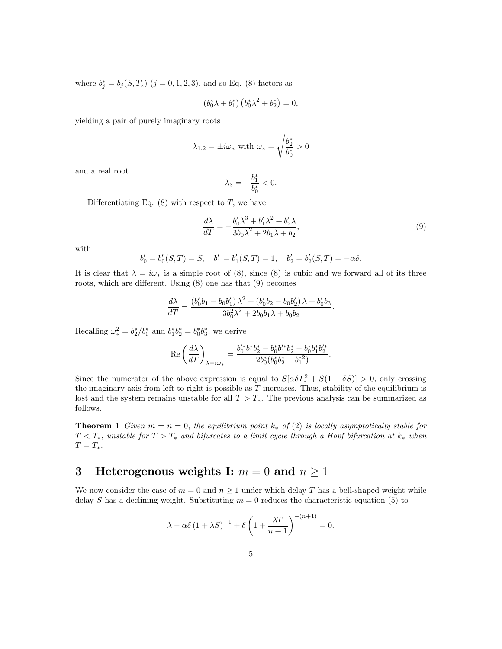where  $b_j^* = b_j(S, T_*)$   $(j = 0, 1, 2, 3)$ , and so Eq. (8) factors as

$$
(b_0^*\lambda + b_1^*)\left(b_0^*\lambda^2 + b_2^*\right) = 0,
$$

yielding a pair of purely imaginary roots

$$
\lambda_{1,2} = \pm i\omega_* \text{ with } \omega_* = \sqrt{\frac{b_2^*}{b_0^*}} > 0
$$

and a real root

$$
\lambda_3 = -\frac{b_1^*}{b_0^*} < 0.
$$

Differentiating Eq.  $(8)$  with respect to T, we have

$$
\frac{d\lambda}{dT} = -\frac{b'_0 \lambda^3 + b'_1 \lambda^2 + b'_2 \lambda}{3b_0 \lambda^2 + 2b_1 \lambda + b_2},\tag{9}
$$

with

$$
b'_0 = b'_0(S, T) = S, \quad b'_1 = b'_1(S, T) = 1, \quad b'_2 = b'_2(S, T) = -\alpha \delta.
$$

It is clear that  $\lambda = i\omega_*$  is a simple root of (8), since (8) is cubic and we forward all of its three roots, which are different. Using (8) one has that (9) becomes

$$
\frac{d\lambda}{dT} = \frac{(b'_0b_1 - b_0b'_1)\lambda^2 + (b'_0b_2 - b_0b'_2)\lambda + b'_0b_3}{3b_0^2\lambda^2 + 2b_0b_1\lambda + b_0b_2}.
$$

Recalling  $\omega_*^2 = b_2^*/b_0^*$  and  $b_1^* b_2^* = b_0^* b_3^*$ , we derive

$$
\label{eq:Re} \text{Re} \left(\frac{d\lambda}{dT}\right)_{\lambda = i \omega_*} = \frac{b_0^{\prime*} b_1^* b_2^* - b_0^* b_1^{\prime*} b_2^* - b_0^* b_1^* b_2^* }{2 b_0^* (b_0^* b_2^* + b_1^*{}^2)}.
$$

Since the numerator of the above expression is equal to  $S[\alpha \delta T_*^2 + S(1 + \delta S)] > 0$ , only crossing the imaginary axis from left to right is possible as  $T$  increases. Thus, stability of the equilibrium is lost and the system remains unstable for all  $T > T_*$ . The previous analysis can be summarized as follows.

**Theorem 1** Given  $m = n = 0$ , the equilibrium point  $k_*$  of (2) is locally asymptotically stable for  $T < T_*$ , unstable for  $T > T_*$  and bifurcates to a limit cycle through a Hopf bifurcation at  $k_*$  when  $T = T_*$ .

## 3 Heterogenous weights I:  $m = 0$  and  $n \ge 1$

We now consider the case of  $m = 0$  and  $n \ge 1$  under which delay T has a bell-shaped weight while delay S has a declining weight. Substituting  $m = 0$  reduces the characteristic equation (5) to

$$
\lambda - \alpha \delta \left( 1 + \lambda S \right)^{-1} + \delta \left( 1 + \frac{\lambda T}{n+1} \right)^{-(n+1)} = 0.
$$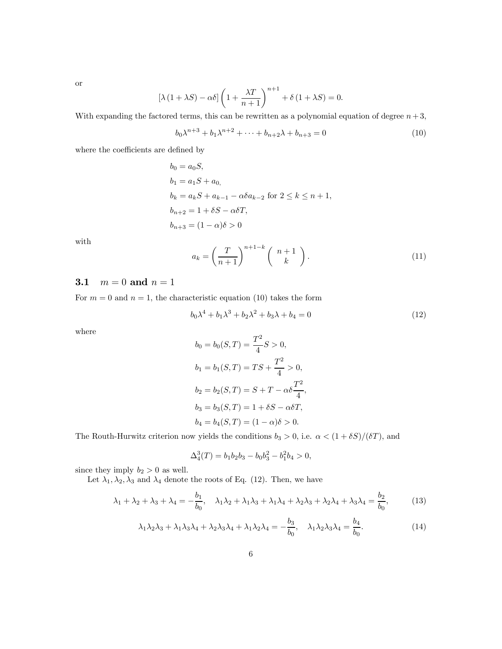or

$$
[\lambda (1 + \lambda S) - \alpha \delta] \left(1 + \frac{\lambda T}{n+1}\right)^{n+1} + \delta (1 + \lambda S) = 0.
$$

With expanding the factored terms, this can be rewritten as a polynomial equation of degree  $n+3$ ,

$$
b_0 \lambda^{n+3} + b_1 \lambda^{n+2} + \dots + b_{n+2} \lambda + b_{n+3} = 0
$$
 (10)

where the coefficients are defined by

$$
b_0 = a_0S,
$$
  
\n
$$
b_1 = a_1S + a_0,
$$
  
\n
$$
b_k = a_kS + a_{k-1} - \alpha\delta a_{k-2} \text{ for } 2 \le k \le n+1,
$$
  
\n
$$
b_{n+2} = 1 + \delta S - \alpha\delta T,
$$
  
\n
$$
b_{n+3} = (1 - \alpha)\delta > 0
$$

with

$$
a_k = \left(\frac{T}{n+1}\right)^{n+1-k} \left(\begin{array}{c} n+1\\k \end{array}\right).
$$
 (11)

#### **3.1**  $m = 0$  and  $n = 1$

For  $m = 0$  and  $n = 1$ , the characteristic equation (10) takes the form

$$
b_0 \lambda^4 + b_1 \lambda^3 + b_2 \lambda^2 + b_3 \lambda + b_4 = 0 \tag{12}
$$

where

$$
b_0 = b_0(S, T) = \frac{T^2}{4} S > 0,
$$
  
\n
$$
b_1 = b_1(S, T) = TS + \frac{T^2}{4} > 0,
$$
  
\n
$$
b_2 = b_2(S, T) = S + T - \alpha \delta \frac{T^2}{4},
$$
  
\n
$$
b_3 = b_3(S, T) = 1 + \delta S - \alpha \delta T,
$$
  
\n
$$
b_4 = b_4(S, T) = (1 - \alpha)\delta > 0.
$$

The Routh-Hurwitz criterion now yields the conditions  $b_3 > 0$ , i.e.  $\alpha < (1 + \delta S)/(\delta T)$ , and

$$
\Delta_4^3(T) = b_1 b_2 b_3 - b_0 b_3^2 - b_1^2 b_4 > 0,
$$

since they imply  $b_2 > 0$  as well.

Let  $\lambda_1, \lambda_2, \lambda_3$  and  $\lambda_4$  denote the roots of Eq. (12). Then, we have

$$
\lambda_1 + \lambda_2 + \lambda_3 + \lambda_4 = -\frac{b_1}{b_0}, \quad \lambda_1 \lambda_2 + \lambda_1 \lambda_3 + \lambda_1 \lambda_4 + \lambda_2 \lambda_3 + \lambda_2 \lambda_4 + \lambda_3 \lambda_4 = \frac{b_2}{b_0},\tag{13}
$$

$$
\lambda_1 \lambda_2 \lambda_3 + \lambda_1 \lambda_3 \lambda_4 + \lambda_2 \lambda_3 \lambda_4 + \lambda_1 \lambda_2 \lambda_4 = -\frac{b_3}{b_0}, \quad \lambda_1 \lambda_2 \lambda_3 \lambda_4 = \frac{b_4}{b_0}.\tag{14}
$$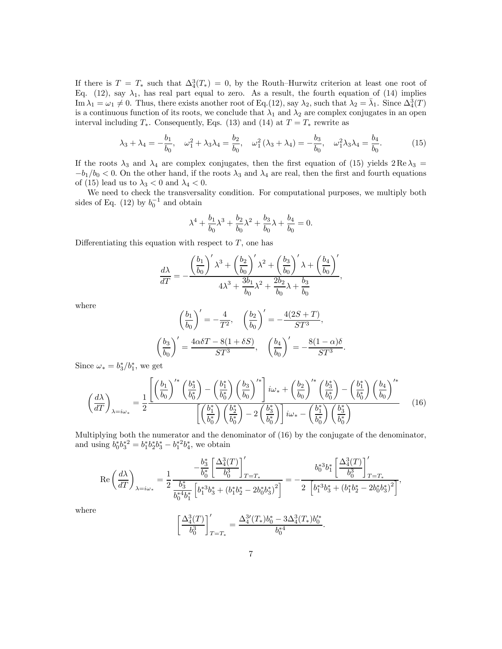If there is  $T = T_*$  such that  $\Delta_4^3(T_*) = 0$ , by the Routh–Hurwitz criterion at least one root of Eq. (12), say  $\lambda_1$ , has real part equal to zero. As a result, the fourth equation of (14) implies  $\text{Im }\lambda_1 = \omega_1 \neq 0$ . Thus, there exists another root of Eq.(12), say  $\lambda_2$ , such that  $\lambda_2 = \bar{\lambda}_1$ . Since  $\Delta_4^3(T)$ is a continuous function of its roots, we conclude that  $\lambda_1$  and  $\lambda_2$  are complex conjugates in an open interval including  $T_*$ . Consequently, Eqs. (13) and (14) at  $T = T_*$  rewrite as

$$
\lambda_3 + \lambda_4 = -\frac{b_1}{b_0}, \quad \omega_1^2 + \lambda_3 \lambda_4 = \frac{b_2}{b_0}, \quad \omega_1^2 (\lambda_3 + \lambda_4) = -\frac{b_3}{b_0}, \quad \omega_1^2 \lambda_3 \lambda_4 = \frac{b_4}{b_0}.
$$
 (15)

If the roots  $\lambda_3$  and  $\lambda_4$  are complex conjugates, then the first equation of (15) yields  $2 \text{ Re } \lambda_3 =$  $-b_1/b_0 < 0$ . On the other hand, if the roots  $\lambda_3$  and  $\lambda_4$  are real, then the first and fourth equations of (15) lead us to  $\lambda_3 < 0$  and  $\lambda_4 < 0$ .

We need to check the transversality condition. For computational purposes, we multiply both sides of Eq.  $(12)$  by  $b_0^{-1}$  and obtain

$$
\lambda^4 + \frac{b_1}{b_0}\lambda^3 + \frac{b_2}{b_0}\lambda^2 + \frac{b_3}{b_0}\lambda + \frac{b_4}{b_0} = 0.
$$

Differentiating this equation with respect to  $T$ , one has

$$
\frac{d\lambda}{dT} = -\frac{\left(\frac{b_1}{b_0}\right)'\lambda^3 + \left(\frac{b_2}{b_0}\right)'\lambda^2 + \left(\frac{b_3}{b_0}\right)'\lambda + \left(\frac{b_4}{b_0}\right)'}{4\lambda^3 + \frac{3b_1}{b_0}\lambda^2 + \frac{2b_2}{b_0}\lambda + \frac{b_3}{b_0}},
$$

where

$$
\left(\frac{b_1}{b_0}\right)' = -\frac{4}{T^2}, \quad \left(\frac{b_2}{b_0}\right)' = -\frac{4(2S+T)}{ST^3},
$$

$$
\left(\frac{b_3}{b_0}\right)' = \frac{4\alpha\delta T - 8(1+\delta S)}{ST^3}, \quad \left(\frac{b_4}{b_0}\right)' = -\frac{8(1-\alpha)\delta}{ST^3}.
$$

Since  $\omega_* = b_3^*/b_1^*$ , we get

$$
\left(\frac{d\lambda}{dT}\right)_{\lambda=i\omega_*} = \frac{1}{2} \frac{\left[\left(\frac{b_1}{b_0}\right)^{k*} \left(\frac{b_3^*}{b_0^*}\right) - \left(\frac{b_1^*}{b_0^*}\right) \left(\frac{b_3}{b_0}\right)^{k*}\right] i\omega_* + \left(\frac{b_2}{b_0}\right)^{k*} \left(\frac{b_3^*}{b_0^*}\right) - \left(\frac{b_1^*}{b_0^*}\right) \left(\frac{b_4}{b_0}\right)^{k*}}{\left[\left(\frac{b_1^*}{b_0^*}\right) \left(\frac{b_2^*}{b_0^*}\right) - 2 \left(\frac{b_3^*}{b_0^*}\right)\right] i\omega_* - \left(\frac{b_1^*}{b_0^*}\right) \left(\frac{b_3^*}{b_0^*}\right)}\tag{16}
$$

Multiplying both the numerator and the denominator of (16) by the conjugate of the denominator, and using  $b_0^* b_3^*^2 = b_1^* b_2^* b_3^* - b_1^*^2 b_4^*$ , we obtain

$$
\operatorname{Re}\left(\frac{d\lambda}{dT}\right)_{\lambda=i\omega_*}=\frac{1}{2}\frac{\frac{-\frac{b_3^*}{b_0^*}\left[\frac{\Delta_4^3(T)}{b_0^3}\right]_{T=T_*}^{\prime}}{\frac{b_3^*}{b_0^*^4b_1^*}\left[b_1^{*3}b_3^*+(b_1^*b_2^*-2b_0^*b_3^*)^2\right]}=-\frac{b_0^{*3}b_1^*\left[\frac{\Delta_4^3(T)}{b_0^3}\right]_{T=T_*}^{\prime}}{2\left[b_1^{*3}b_3^*+(b_1^*b_2^*-2b_0^*b_3^*)^2\right]},
$$

where

$$
\left[\frac{\Delta_4^3(T)}{b_0^3}\right]'_{T=T_*}=\frac{\Delta_4^{3\prime}(T_*)b_0^*-3\Delta_4^{3}(T_*)b_0^{\prime *}}{b_0^{*4}}
$$

.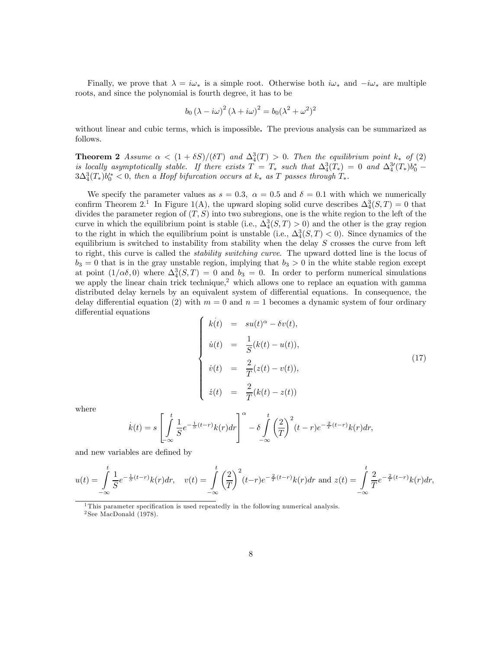Finally, we prove that  $\lambda = i\omega_*$  is a simple root. Otherwise both  $i\omega_*$  and  $-i\omega_*$  are multiple roots, and since the polynomial is fourth degree, it has to be

$$
b_0 (\lambda - i\omega)^2 (\lambda + i\omega)^2 = b_0 (\lambda^2 + \omega^2)^2
$$

without linear and cubic terms, which is impossible. The previous analysis can be summarized as follows.

**Theorem 2** Assume  $\alpha < (1 + \delta S)/(\delta T)$  and  $\Delta_4^3(T) > 0$ . Then the equilibrium point  $k_*$  of (2) is locally asymptotically stable. If there exists  $T = T_*$  such that  $\Delta_4^3(T_*) = 0$  and  $\Delta_4^{3'}(T_*)b_0^* 3\Delta_4^3(T_*)b_0'^* < 0$ , then a Hopf bifurcation occurs at  $k_*$  as T passes through  $T_*$ .

We specify the parameter values as  $s = 0.3$ ,  $\alpha = 0.5$  and  $\delta = 0.1$  with which we numerically confirm Theorem 2.<sup>1</sup> In Figure 1(A), the upward sloping solid curve describes  $\Delta_4^3(S,T) = 0$  that divides the parameter region of  $(T, S)$  into two subregions, one is the white region to the left of the curve in which the equilibrium point is stable (i.e.,  $\Delta_4^3(S,T) > 0$ ) and the other is the gray region to the right in which the equilibrium point is unstable (i.e.,  $\Delta_4^3(S,T) < 0$ ). Since dynamics of the equilibrium is switched to instability from stability when the delay  $S$  crosses the curve from left to right, this curve is called the *stability switching curve*. The upward dotted line is the locus of  $b_3 = 0$  that is in the gray unstable region, implying that  $b_3 > 0$  in the white stable region except at point  $(1/\alpha\delta, 0)$  where  $\Delta_4^3(S, T) = 0$  and  $b_3 = 0$ . In order to perform numerical simulations we apply the linear chain trick technique,<sup>2</sup> which allows one to replace an equation with gamma distributed delay kernels by an equivalent system of differential equations. In consequence, the delay differential equation (2) with  $m = 0$  and  $n = 1$  becomes a dynamic system of four ordinary differential equations .

$$
\begin{cases}\n\dot{k(t)} = su(t)^{\alpha} - \delta v(t), \\
\dot{u}(t) = \frac{1}{S}(k(t) - u(t)), \\
\dot{v}(t) = \frac{2}{T}(z(t) - v(t)), \\
\dot{z}(t) = \frac{2}{T}(k(t) - z(t))\n\end{cases}
$$
\n(17)

where

$$
\dot{k}(t) = s \left[ \int_{-\infty}^{t} \frac{1}{S} e^{-\frac{1}{S}(t-r)} k(r) dr \right]^{\alpha} - \delta \int_{-\infty}^{t} \left( \frac{2}{T} \right)^{2} (t-r) e^{-\frac{2}{T}(t-r)} k(r) dr,
$$

and new variables are defined by

$$
u(t) = \int_{-\infty}^{t} \frac{1}{S} e^{-\frac{1}{S}(t-r)} k(r) dr, \quad v(t) = \int_{-\infty}^{t} \left(\frac{2}{T}\right)^2 (t-r) e^{-\frac{2}{T}(t-r)} k(r) dr \text{ and } z(t) = \int_{-\infty}^{t} \frac{2}{T} e^{-\frac{2}{T}(t-r)} k(r) dr,
$$

<sup>1</sup>This parameter specification is used repeatedly in the following numerical analysis.  $2$  See MacDonald (1978).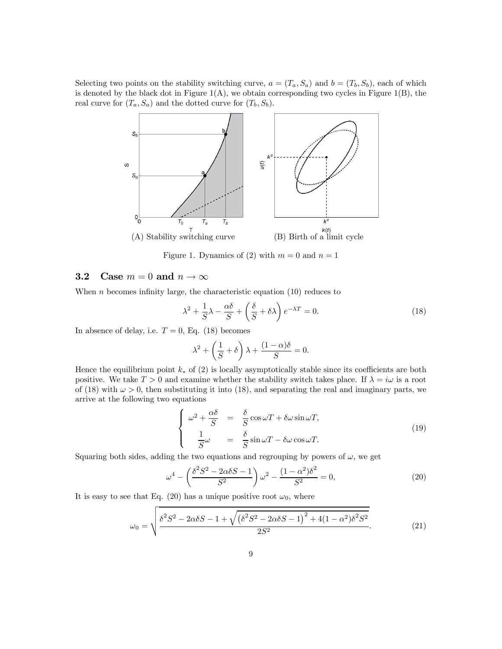Selecting two points on the stability switching curve,  $a = (T_a, S_a)$  and  $b = (T_b, S_b)$ , each of which is denoted by the black dot in Figure  $1(A)$ , we obtain corresponding two cycles in Figure 1(B), the real curve for  $(T_a, S_a)$  and the dotted curve for  $(T_b, S_b)$ .



Figure 1. Dynamics of (2) with  $m = 0$  and  $n = 1$ 

#### **3.2** Case  $m = 0$  and  $n \to \infty$

When  $n$  becomes infinity large, the characteristic equation  $(10)$  reduces to

$$
\lambda^2 + \frac{1}{S}\lambda - \frac{\alpha\delta}{S} + \left(\frac{\delta}{S} + \delta\lambda\right)e^{-\lambda T} = 0.
$$
 (18)

In absence of delay, i.e.  $T = 0$ , Eq. (18) becomes

$$
\lambda^2 + \left(\frac{1}{S} + \delta\right)\lambda + \frac{(1-\alpha)\delta}{S} = 0.
$$

Hence the equilibrium point  $k_*$  of (2) is locally asymptotically stable since its coefficients are both positive. We take  $T > 0$  and examine whether the stability switch takes place. If  $\lambda = i\omega$  is a root of (18) with  $\omega > 0$ , then substituting it into (18), and separating the real and imaginary parts, we arrive at the following two equations

$$
\begin{cases}\n\omega^2 + \frac{\alpha \delta}{S} = \frac{\delta}{S} \cos \omega T + \delta \omega \sin \omega T, \\
\frac{1}{S} \omega = \frac{\delta}{S} \sin \omega T - \delta \omega \cos \omega T.\n\end{cases}
$$
\n(19)

Squaring both sides, adding the two equations and regrouping by powers of  $\omega$ , we get

$$
\omega^4 - \left(\frac{\delta^2 S^2 - 2\alpha \delta S - 1}{S^2}\right) \omega^2 - \frac{(1 - \alpha^2)\delta^2}{S^2} = 0,
$$
\n(20)

It is easy to see that Eq. (20) has a unique positive root  $\omega_0$ , where

$$
\omega_0 = \sqrt{\frac{\delta^2 S^2 - 2\alpha \delta S - 1 + \sqrt{(\delta^2 S^2 - 2\alpha \delta S - 1)^2 + 4(1 - \alpha^2)\delta^2 S^2}}{2S^2}}.
$$
(21)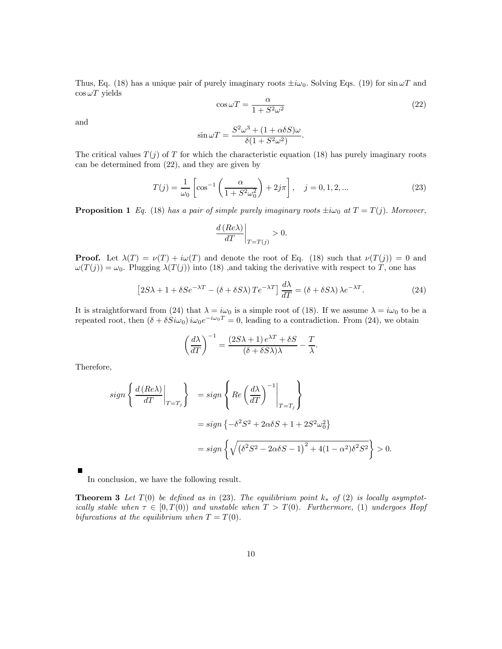Thus, Eq. (18) has a unique pair of purely imaginary roots  $\pm i\omega_0$ . Solving Eqs. (19) for  $\sin \omega T$  and  $\cos \omega T$  yields

$$
\cos \omega T = \frac{\alpha}{1 + S^2 \omega^2} \tag{22}
$$

and

$$
\sin \omega T = \frac{S^2 \omega^3 + (1 + \alpha \delta S) \omega}{\delta (1 + S^2 \omega^2)}.
$$

The critical values  $T(j)$  of T for which the characteristic equation (18) has purely imaginary roots can be determined from (22), and they are given by

$$
T(j) = \frac{1}{\omega_0} \left[ \cos^{-1} \left( \frac{\alpha}{1 + S^2 \omega_0^2} \right) + 2j\pi \right], \quad j = 0, 1, 2, ... \tag{23}
$$

**Proposition 1** Eq. (18) has a pair of simple purely imaginary roots  $\pm i\omega_0$  at  $T = T(j)$ . Moreover,

$$
\left. \frac{d\left( Re\lambda \right) }{dT}\right\vert _{T=T\left( j\right) }>0.
$$

**Proof.** Let  $\lambda(T) = \nu(T) + i\omega(T)$  and denote the root of Eq. (18) such that  $\nu(T(j)) = 0$  and  $\omega(T(j)) = \omega_0$ . Plugging  $\lambda(T(j))$  into (18), and taking the derivative with respect to T, one has

$$
\[2S\lambda + 1 + \delta S e^{-\lambda T} - (\delta + \delta S \lambda) T e^{-\lambda T}\] \frac{d\lambda}{dT} = (\delta + \delta S \lambda) \lambda e^{-\lambda T}.\tag{24}
$$

It is straightforward from (24) that  $\lambda = i\omega_0$  is a simple root of (18). If we assume  $\lambda = i\omega_0$  to be a repeated root, then  $(\delta + \delta S_i \omega_0) i \omega_0 e^{-i \omega_0 T} = 0$ , leading to a contradiction. From (24), we obtain

$$
\left(\frac{d\lambda}{dT}\right)^{-1} = \frac{(2S\lambda + 1)e^{\lambda T} + \delta S}{(\delta + \delta S\lambda)\lambda} - \frac{T}{\lambda}.
$$

Therefore,

$$
sign\left\{\frac{d\left(Re\lambda\right)}{dT}\Big|_{T=T_j}\right\} = sign\left\{Re\left(\frac{d\lambda}{dT}\right)^{-1}\Big|_{T=T_j}\right\}
$$

$$
= sign\left\{-\delta^2 S^2 + 2\alpha\delta S + 1 + 2S^2\omega_0^2\right\}
$$

$$
= sign\left\{\sqrt{\left(\delta^2 S^2 - 2\alpha\delta S - 1\right)^2 + 4(1 - \alpha^2)\delta^2 S^2}\right\} > 0.
$$

In conclusion, we have the following result.

**Theorem 3** Let  $T(0)$  be defined as in (23). The equilibrium point  $k_*$  of (2) is locally asymptotically stable when  $\tau \in [0, T(0))$  and unstable when  $T > T(0)$ . Furthermore, (1) undergoes Hopf bifurcations at the equilibrium when  $T = T(0)$ .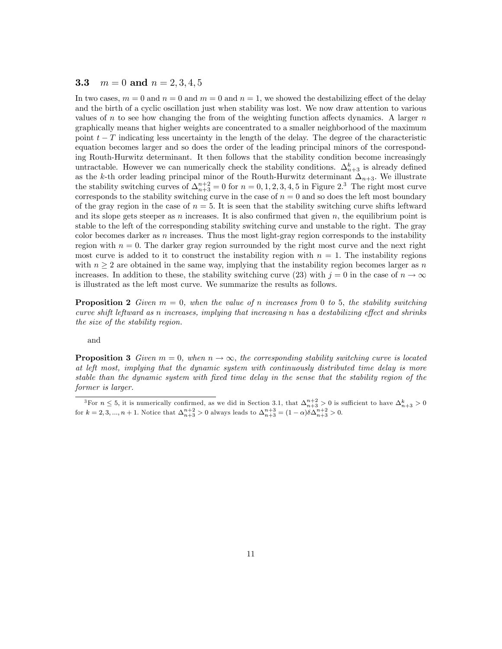#### **3.3**  $m = 0$  and  $n = 2, 3, 4, 5$

In two cases,  $m = 0$  and  $n = 0$  and  $m = 0$  and  $n = 1$ , we showed the destabilizing effect of the delay and the birth of a cyclic oscillation just when stability was lost. We now draw attention to various values of n to see how changing the from of the weighting function affects dynamics. A larger  $n$ graphically means that higher weights are concentrated to a smaller neighborhood of the maximum point  $t-T$  indicating less uncertainty in the length of the delay. The degree of the characteristic equation becomes larger and so does the order of the leading principal minors of the corresponding Routh-Hurwitz determinant. It then follows that the stability condition become increasingly untractable. However we can numerically check the stability conditions.  $\Delta_{n+3}^k$  is already defined as the k-th order leading principal minor of the Routh-Hurwitz determinant  $\Delta_{n+3}$ . We illustrate the stability switching curves of  $\Delta_{n+3}^{n+2} = 0$  for  $n = 0, 1, 2, 3, 4, 5$  in Figure 2.<sup>3</sup> The right most curve corresponds to the stability switching curve in the case of  $n = 0$  and so does the left most boundary of the gray region in the case of  $n = 5$ . It is seen that the stability switching curve shifts leftward and its slope gets steeper as n increases. It is also confirmed that given  $n$ , the equilibrium point is stable to the left of the corresponding stability switching curve and unstable to the right. The gray color becomes darker as  $n$  increases. Thus the most light-gray region corresponds to the instability region with  $n = 0$ . The darker gray region surrounded by the right most curve and the next right most curve is added to it to construct the instability region with  $n = 1$ . The instability regions with  $n \geq 2$  are obtained in the same way, implying that the instability region becomes larger as n increases. In addition to these, the stability switching curve (23) with  $j = 0$  in the case of  $n \to \infty$ is illustrated as the left most curve. We summarize the results as follows.

**Proposition 2** Given  $m = 0$ , when the value of n increases from 0 to 5, the stability switching curve shift leftward as n increases, implying that increasing n has a destabilizing effect and shrinks the size of the stability region.

and

**Proposition 3** Given  $m = 0$ , when  $n \to \infty$ , the corresponding stability switching curve is located at left most, implying that the dynamic system with continuously distributed time delay is more stable than the dynamic system with fixed time delay in the sense that the stability region of the former is larger.

<sup>&</sup>lt;sup>3</sup>For  $n \leq 5$ , it is numerically confirmed, as we did in Section 3.1, that  $\Delta_{n+3}^{n+2} > 0$  is sufficient to have  $\Delta_{n+3}^k > 0$ for  $k = 2, 3, ..., n + 1$ . Notice that  $\Delta_{n+3}^{n+2} > 0$  always leads to  $\Delta_{n+3}^{n+3} = (1 - \alpha)\delta \Delta_{n+3}^{n+2} > 0$ .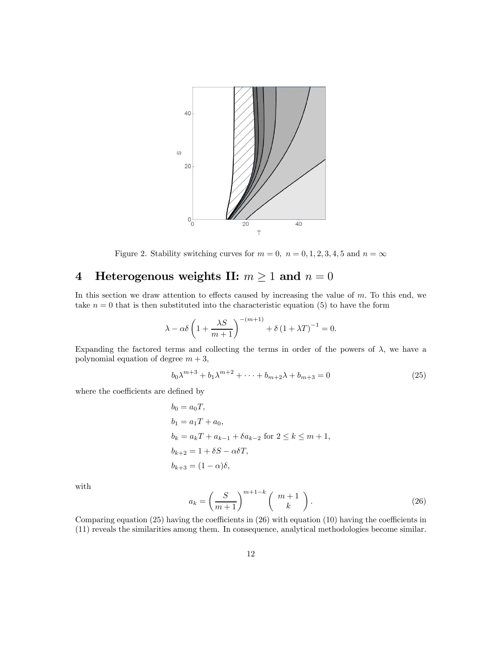

Figure 2. Stability switching curves for  $m = 0$ ,  $n = 0, 1, 2, 3, 4, 5$  and  $n = \infty$ 

# 4 Heterogenous weights II:  $m \ge 1$  and  $n = 0$

In this section we draw attention to effects caused by increasing the value of  $m$ . To this end, we take  $n = 0$  that is then substituted into the characteristic equation (5) to have the form

$$
\lambda - \alpha \delta \left( 1 + \frac{\lambda S}{m+1} \right)^{-(m+1)} + \delta \left( 1 + \lambda T \right)^{-1} = 0.
$$

Expanding the factored terms and collecting the terms in order of the powers of  $\lambda$ , we have a polynomial equation of degree  $m + 3$ ,

$$
b_0 \lambda^{m+3} + b_1 \lambda^{m+2} + \dots + b_{m+2} \lambda + b_{m+3} = 0
$$
 (25)

where the coefficients are defined by

$$
b_0 = a_0T,
$$
  
\n
$$
b_1 = a_1T + a_0,
$$
  
\n
$$
b_k = a_kT + a_{k-1} + \delta a_{k-2} \text{ for } 2 \le k \le m+1,
$$
  
\n
$$
b_{k+2} = 1 + \delta S - \alpha \delta T,
$$
  
\n
$$
b_{k+3} = (1 - \alpha)\delta,
$$

with

$$
a_k = \left(\frac{S}{m+1}\right)^{m+1-k} \left(\begin{array}{c} m+1\\ k \end{array}\right).
$$
 (26)

Comparing equation (25) having the coefficients in (26) with equation (10) having the coefficients in (11) reveals the similarities among them. In consequence, analytical methodologies become similar.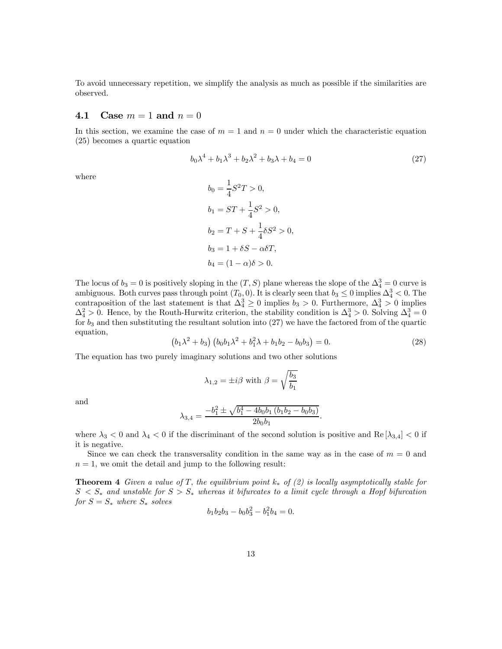To avoid unnecessary repetition, we simplify the analysis as much as possible if the similarities are observed.

#### 4.1 Case  $m = 1$  and  $n = 0$

In this section, we examine the case of  $m = 1$  and  $n = 0$  under which the characteristic equation (25) becomes a quartic equation

$$
b_0 \lambda^4 + b_1 \lambda^3 + b_2 \lambda^2 + b_3 \lambda + b_4 = 0 \tag{27}
$$

where

$$
b_0 = \frac{1}{4}S^2T > 0,
$$
  
\n
$$
b_1 = ST + \frac{1}{4}S^2 > 0,
$$
  
\n
$$
b_2 = T + S + \frac{1}{4}\delta S^2 > 0,
$$
  
\n
$$
b_3 = 1 + \delta S - \alpha \delta T,
$$
  
\n
$$
b_4 = (1 - \alpha)\delta > 0.
$$

The locus of  $b_3 = 0$  is positively sloping in the  $(T, S)$  plane whereas the slope of the  $\Delta_4^3 = 0$  curve is ambiguous. Both curves pass through point  $(T_0, 0)$ . It is clearly seen that  $b_3 \leq 0$  implies  $\Delta_4^3 < 0$ . The contraposition of the last statement is that  $\Delta_4^3 \geq 0$  implies  $b_3 > 0$ . Furthermore,  $\Delta_4^3 > 0$  implies  $\Delta_4^2 > 0$ . Hence, by the Routh-Hurwitz criterion, the stability condition is  $\Delta_4^3 > 0$ . Solving  $\Delta_4^3 = 0$ for  $b_3$  and then substituting the resultant solution into  $(27)$  we have the factored from of the quartic equation,

$$
(b_1\lambda^2 + b_3)(b_0b_1\lambda^2 + b_1^2\lambda + b_1b_2 - b_0b_3) = 0.
$$
 (28)

.

The equation has two purely imaginary solutions and two other solutions

$$
\lambda_{1,2} = \pm i\beta \text{ with } \beta = \sqrt{\frac{b_3}{b_1}}
$$

and

$$
\lambda_{3,4} = \frac{-b_1^2 \pm \sqrt{b_1^4 - 4b_0b_1(b_1b_2 - b_0b_3)}}{2b_0b_1}
$$

where  $\lambda_3 < 0$  and  $\lambda_4 < 0$  if the discriminant of the second solution is positive and Re  $[\lambda_{3,4}] < 0$  if it is negative.

Since we can check the transversality condition in the same way as in the case of  $m = 0$  and  $n = 1$ , we omit the detail and jump to the following result:

**Theorem 4** Given a value of T, the equilibrium point  $k_*$  of (2) is locally asymptotically stable for  $S \leq S_*$  and unstable for  $S > S_*$  whereas it bifurcates to a limit cycle through a Hopf bifurcation for  $S = S_*$  where  $S_*$  solves

$$
b_1b_2b_3 - b_0b_3^2 - b_1^2b_4 = 0.
$$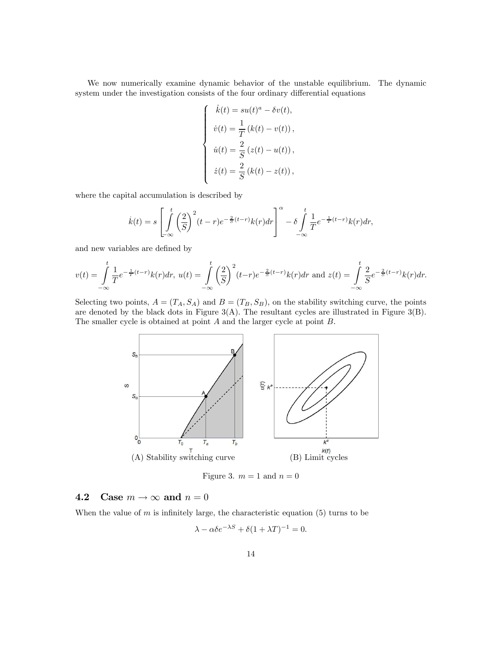We now numerically examine dynamic behavior of the unstable equilibrium. The dynamic system under the investigation consists of the four ordinary differential equations

$$
\begin{cases}\n\dot{k}(t) = su(t)^a - \delta v(t), \\
\dot{v}(t) = \frac{1}{T} (k(t) - v(t)), \\
\dot{u}(t) = \frac{2}{S} (z(t) - u(t)), \\
\dot{z}(t) = \frac{2}{S} (k(t) - z(t)),\n\end{cases}
$$

where the capital accumulation is described by

$$
\dot{k}(t) = s \left[ \int_{-\infty}^{t} \left( \frac{2}{S} \right)^2 (t-r) e^{-\frac{2}{S}(t-r)} k(r) dr \right]^\alpha - \delta \int_{-\infty}^{t} \frac{1}{T} e^{-\frac{1}{T}(t-r)} k(r) dr,
$$

and new variables are defined by

$$
v(t) = \int_{-\infty}^{t} \frac{1}{T} e^{-\frac{1}{T}(t-r)} k(r) dr, \ u(t) = \int_{-\infty}^{t} \left(\frac{2}{S}\right)^2 (t-r) e^{-\frac{2}{S}(t-r)} k(r) dr \text{ and } z(t) = \int_{-\infty}^{t} \frac{2}{S} e^{-\frac{2}{S}(t-r)} k(r) dr.
$$

Selecting two points,  $A = (T_A, S_A)$  and  $B = (T_B, S_B)$ , on the stability switching curve, the points are denoted by the black dots in Figure  $3(A)$ . The resultant cycles are illustrated in Figure  $3(B)$ . The smaller cycle is obtained at point A and the larger cycle at point B.



Figure 3.  $m = 1$  and  $n = 0$ 

#### 4.2 Case  $m \to \infty$  and  $n = 0$

When the value of  $m$  is infinitely large, the characteristic equation (5) turns to be

$$
\lambda - \alpha \delta e^{-\lambda S} + \delta (1 + \lambda T)^{-1} = 0.
$$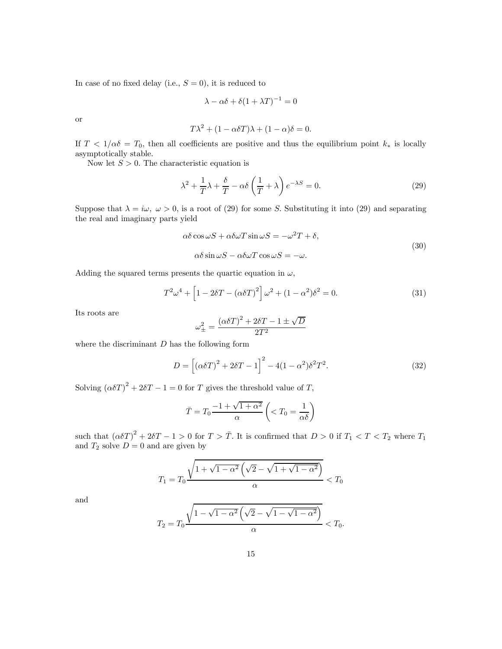In case of no fixed delay (i.e.,  $S = 0$ ), it is reduced to

$$
\lambda - \alpha \delta + \delta (1 + \lambda T)^{-1} = 0
$$

or

$$
T\lambda^2 + (1 - \alpha \delta T)\lambda + (1 - \alpha)\delta = 0.
$$

If  $T < 1/\alpha\delta = T_0$ , then all coefficients are positive and thus the equilibrium point  $k_*$  is locally asymptotically stable.

Now let  $S > 0$ . The characteristic equation is

$$
\lambda^2 + \frac{1}{T}\lambda + \frac{\delta}{T} - \alpha \delta \left(\frac{1}{T} + \lambda\right) e^{-\lambda S} = 0.
$$
 (29)

Suppose that  $\lambda = i\omega, \ \omega > 0$ , is a root of (29) for some S. Substituting it into (29) and separating the real and imaginary parts yield

$$
\alpha \delta \cos \omega S + \alpha \delta \omega T \sin \omega S = -\omega^2 T + \delta,
$$
  

$$
\alpha \delta \sin \omega S - \alpha \delta \omega T \cos \omega S = -\omega.
$$
 (30)

Adding the squared terms presents the quartic equation in  $\omega$ ,

$$
T^{2}\omega^{4} + \left[1 - 2\delta T - (\alpha \delta T)^{2}\right]\omega^{2} + (1 - \alpha^{2})\delta^{2} = 0.
$$
 (31)

Its roots are

$$
\omega_{\pm}^{2} = \frac{(\alpha \delta T)^{2} + 2\delta T - 1 \pm \sqrt{D}}{2T^{2}}
$$

where the discriminant  $D$  has the following form

$$
D = [(\alpha \delta T)^{2} + 2\delta T - 1]^{2} - 4(1 - \alpha^{2})\delta^{2}T^{2}.
$$
 (32)

Solving  $(\alpha \delta T)^2 + 2\delta T - 1 = 0$  for T gives the threshold value of T,

$$
\bar{T} = T_0 \frac{-1 + \sqrt{1 + \alpha^2}}{\alpha} \left( < T_0 = \frac{1}{\alpha \delta} \right)
$$

such that  $(\alpha \delta T)^2 + 2\delta T - 1 > 0$  for  $T > \overline{T}$ . It is confirmed that  $D > 0$  if  $T_1 < T < T_2$  where  $T_1$ and  $T_2$  solve  $D=0$  and are given by

$$
T_1 = T_0 \frac{\sqrt{1 + \sqrt{1 - \alpha^2} \left(\sqrt{2} - \sqrt{1 + \sqrt{1 - \alpha^2}}\right)}}{\alpha} < T_0
$$

and

$$
T_2 = T_0 \frac{\sqrt{1 - \sqrt{1 - \alpha^2} \left(\sqrt{2} - \sqrt{1 - \sqrt{1 - \alpha^2}}\right)}}{\alpha} < T_0.
$$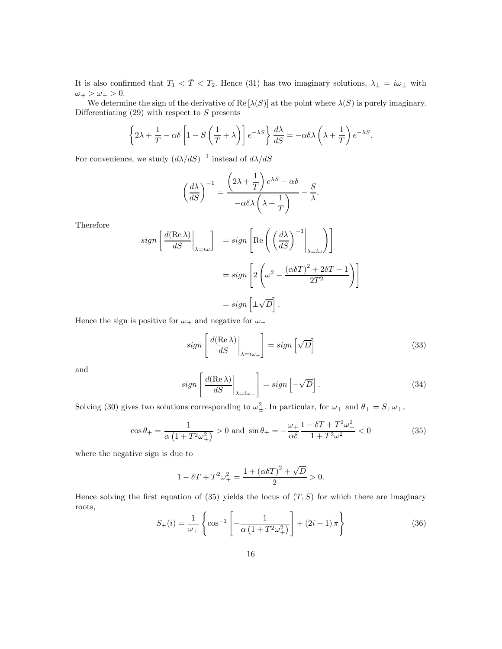It is also confirmed that  $T_1 < \overline{T} < T_2$ . Hence (31) has two imaginary solutions,  $\lambda_{\pm} = i\omega_{\pm}$  with  $\omega_+ > \omega_- > 0.$ 

We determine the sign of the derivative of Re  $[\lambda(S)]$  at the point where  $\lambda(S)$  is purely imaginary. Differentiating  $(29)$  with respect to S presents

$$
\left\{2\lambda + \frac{1}{T} - \alpha \delta \left[1 - S\left(\frac{1}{T} + \lambda\right)\right] e^{-\lambda S}\right\} \frac{d\lambda}{dS} = -\alpha \delta \lambda \left(\lambda + \frac{1}{T}\right) e^{-\lambda S}.
$$

For convenience, we study  $(d\lambda/dS)^{-1}$  instead of  $d\lambda/dS$ 

$$
\left(\frac{d\lambda}{dS}\right)^{-1} = \frac{\left(2\lambda + \frac{1}{T}\right)e^{\lambda S} - \alpha \delta}{-\alpha \delta \lambda \left(\lambda + \frac{1}{T}\right)} - \frac{S}{\lambda}.
$$

Therefore

$$
sign\left[\frac{d(\text{Re }\lambda)}{dS}\Big|_{\lambda=i\omega}\right] = sign\left[\text{Re}\left(\left(\frac{d\lambda}{dS}\right)^{-1}\Big|_{\lambda=i\omega}\right)\right]
$$

$$
= sign\left[2\left(\omega^2 - \frac{(\alpha\delta T)^2 + 2\delta T - 1}{2T^2}\right)\right]
$$

$$
= sign\left[\pm\sqrt{D}\right].
$$

Hence the sign is positive for  $\omega_+$  and negative for  $\omega_-$ 

$$
sign\left[\left.\frac{d(\text{Re }\lambda)}{dS}\right|_{\lambda=i\omega_{+}}\right] = sign\left[\sqrt{D}\right]
$$
\n(33)

and

$$
sign\left[\left.\frac{d(\text{Re }\lambda)}{dS}\right|_{\lambda=i\omega_{-}}\right] = sign\left[-\sqrt{D}\right].\tag{34}
$$

Solving (30) gives two solutions corresponding to  $\omega_{\pm}^2$ . In particular, for  $\omega_+$  and  $\theta_+ = S_+\omega_+$ ,

$$
\cos \theta_{+} = \frac{1}{\alpha \left( 1 + T^{2} \omega_{+}^{2} \right)} > 0 \text{ and } \sin \theta_{+} = -\frac{\omega_{+}}{\alpha \delta} \frac{1 - \delta T + T^{2} \omega_{+}^{2}}{1 + T^{2} \omega_{+}^{2}} < 0 \tag{35}
$$

where the negative sign is due to

$$
1 - \delta T + T^2 \omega_+^2 = \frac{1 + (\alpha \delta T)^2 + \sqrt{D}}{2} > 0.
$$

Hence solving the first equation of (35) yields the locus of  $(T, S)$  for which there are imaginary roots,

$$
S_{+}(i) = \frac{1}{\omega_{+}} \left\{ \cos^{-1} \left[ -\frac{1}{\alpha \left( 1 + T^{2} \omega_{+}^{2} \right)} \right] + (2i + 1) \pi \right\}
$$
(36)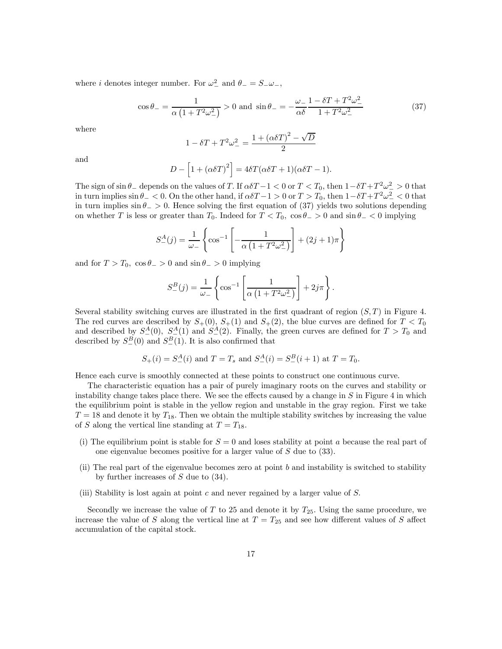where *i* denotes integer number. For  $\omega_{-}^2$  and  $\theta_{-} = S_{-} \omega_{-}$ ,

$$
\cos \theta_{-} = \frac{1}{\alpha \left( 1 + T^2 \omega_{-}^2 \right)} > 0 \text{ and } \sin \theta_{-} = -\frac{\omega_{-}}{\alpha \delta} \frac{1 - \delta T + T^2 \omega_{-}^2}{1 + T^2 \omega_{-}^2}
$$
(37)

where

$$
1 - \delta T + T^2 \omega_{-}^2 = \frac{1 + (\alpha \delta T)^2 - \sqrt{D}}{2}
$$

and

$$
D - [1 + (\alpha \delta T)^{2}] = 4\delta T(\alpha \delta T + 1)(\alpha \delta T - 1).
$$

The sign of  $\sin \theta_-$  depends on the values of T. If  $\alpha \delta T - 1 < 0$  or  $T < T_0$ , then  $1 - \delta T + T^2 \omega^2 > 0$  that in turn implies  $\sin \theta_{-} < 0$ . On the other hand, if  $\alpha \delta T - 1 > 0$  or  $T > T_0$ , then  $1 - \delta T + T^2 \omega_{-}^2 < 0$  that in turn implies  $\sin \theta_$  > 0. Hence solving the first equation of (37) yields two solutions depending on whether T is less or greater than  $T_0$ . Indeed for  $T < T_0$ ,  $\cos \theta_{-} > 0$  and  $\sin \theta_{-} < 0$  implying

$$
S_{-}^{A}(j) = \frac{1}{\omega_{-}} \left\{ \cos^{-1} \left[ -\frac{1}{\alpha \left( 1 + T^{2} \omega_{-}^{2} \right)} \right] + (2j + 1)\pi \right\}
$$

and for  $T > T_0$ ,  $\cos \theta_{-} > 0$  and  $\sin \theta_{-} > 0$  implying

$$
S_{-}^{B}(j) = \frac{1}{\omega_{-}} \left\{ \cos^{-1} \left[ \frac{1}{\alpha \left( 1 + T^{2} \omega_{-}^{2} \right)} \right] + 2j\pi \right\}.
$$

Several stability switching curves are illustrated in the first quadrant of region  $(S, T)$  in Figure 4. The red curves are described by  $S_+(0)$ ,  $S_+(1)$  and  $S_+(2)$ , the blue curves are defined for  $T < T_0$ and described by  $S_{-}^{A}(0)$ ,  $S_{-}^{A}(1)$  and  $S_{-}^{A}(2)$ . Finally, the green curves are defined for  $T > T_0$  and described by  $S^B_-(0)$  and  $S^B_-(1)$ . It is also confirmed that

$$
S_{+}(i) = S_{-}^{A}(i)
$$
 and  $T = T_s$  and  $S_{-}^{A}(i) = S_{-}^{B}(i + 1)$  at  $T = T_0$ .

Hence each curve is smoothly connected at these points to construct one continuous curve.

The characteristic equation has a pair of purely imaginary roots on the curves and stability or instability change takes place there. We see the effects caused by a change in  $S$  in Figure 4 in which the equilibrium point is stable in the yellow region and unstable in the gray region. First we take  $T = 18$  and denote it by  $T_{18}$ . Then we obtain the multiple stability switches by increasing the value of S along the vertical line standing at  $T = T_{18}$ .

- (i) The equilibrium point is stable for  $S = 0$  and loses stability at point a because the real part of one eigenvalue becomes positive for a larger value of S due to (33).
- (ii) The real part of the eigenvalue becomes zero at point b and instability is switched to stability by further increases of  $S$  due to  $(34)$ .
- (iii) Stability is lost again at point  $c$  and never regained by a larger value of  $S$ .

Secondly we increase the value of T to 25 and denote it by  $T_{25}$ . Using the same procedure, we increase the value of S along the vertical line at  $T = T_{25}$  and see how different values of S affect accumulation of the capital stock.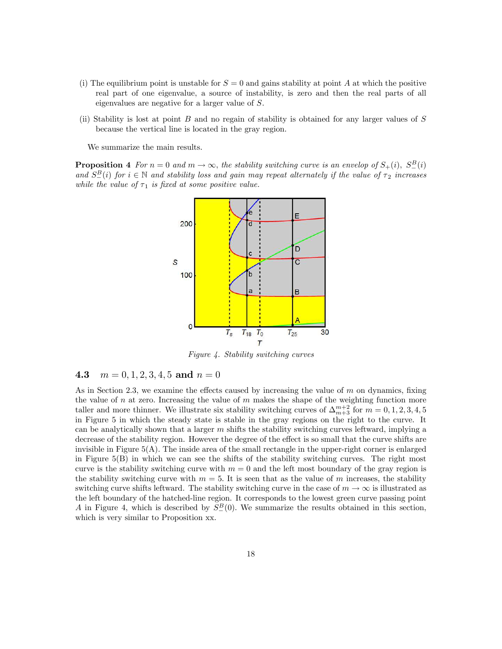- (i) The equilibrium point is unstable for  $S = 0$  and gains stability at point A at which the positive real part of one eigenvalue, a source of instability, is zero and then the real parts of all eigenvalues are negative for a larger value of S.
- (ii) Stability is lost at point B and no regain of stability is obtained for any larger values of  $S$ because the vertical line is located in the gray region.

We summarize the main results.

**Proposition 4** For  $n = 0$  and  $m \to \infty$ , the stability switching curve is an envelop of  $S_+(i)$ ,  $S_-^B(i)$ and  $S_{-}^{B}(i)$  for  $i \in \mathbb{N}$  and stability loss and gain may repeat alternately if the value of  $\tau_2$  increases while the value of  $\tau_1$  is fixed at some positive value.



Figure 4. Stability switching curves

#### 4.3  $m = 0, 1, 2, 3, 4, 5$  and  $n = 0$

As in Section 2.3, we examine the effects caused by increasing the value of  $m$  on dynamics, fixing the value of  $n$  at zero. Increasing the value of  $m$  makes the shape of the weighting function more taller and more thinner. We illustrate six stability switching curves of  $\Delta_{m+3}^{m+2}$  for  $m = 0, 1, 2, 3, 4, 5$ in Figure 5 in which the steady state is stable in the gray regions on the right to the curve. It can be analytically shown that a larger  $m$  shifts the stability switching curves leftward, implying a decrease of the stability region. However the degree of the effect is so small that the curve shifts are invisible in Figure 5(A). The inside area of the small rectangle in the upper-right corner is enlarged in Figure 5(B) in which we can see the shifts of the stability switching curves. The right most curve is the stability switching curve with  $m = 0$  and the left most boundary of the gray region is the stability switching curve with  $m = 5$ . It is seen that as the value of m increases, the stability switching curve shifts leftward. The stability switching curve in the case of  $m \to \infty$  is illustrated as the left boundary of the hatched-line region. It corresponds to the lowest green curve passing point A in Figure 4, which is described by  $S^B_-(0)$ . We summarize the results obtained in this section, which is very similar to Proposition xx.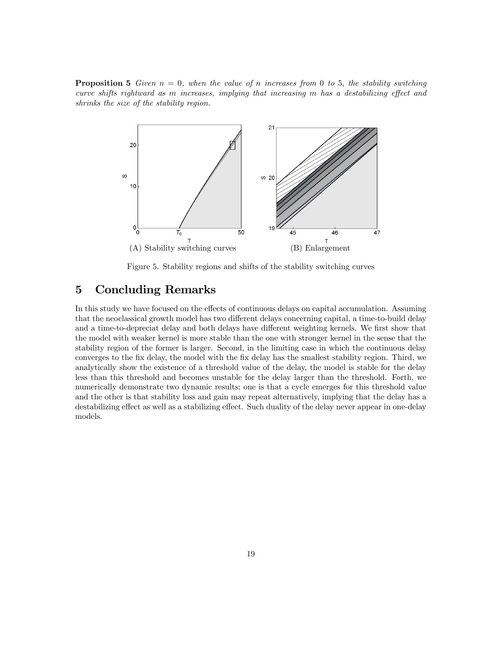**Proposition 5** Given  $n = 0$ , when the value of n increases from 0 to 5, the stability switching curve shifts rightward as m increases, implying that increasing m has a destabilizing effect and shrinks the size of the stability region.



Figure 5. Stability regions and shifts of the stability switching curves

## 5 Concluding Remarks

In this study we have focused on the effects of continuous delays on capital accumulation. Assuming that the neoclassical growth model has two different delays concerning capital, a time-to-build delay and a time-to-depreciat delay and both delays have different weighting kernels. We first show that the model with weaker kernel is more stable than the one with stronger kernel in the sense that the stability region of the former is larger. Second, in the limiting case in which the continuous delay converges to the fix delay, the model with the fix delay has the smallest stability region. Third, we analytically show the existence of a threshold value of the delay, the model is stable for the delay less than this threshold and becomes unstable for the delay larger than the threshold. Forth, we numerically demonstrate two dynamic results; one is that a cycle emerges for this threshold value and the other is that stability loss and gain may repeat alternatively, implying that the delay has a destabilizing effect as well as a stabilizing effect. Such duality of the delay never appear in one-delay models.